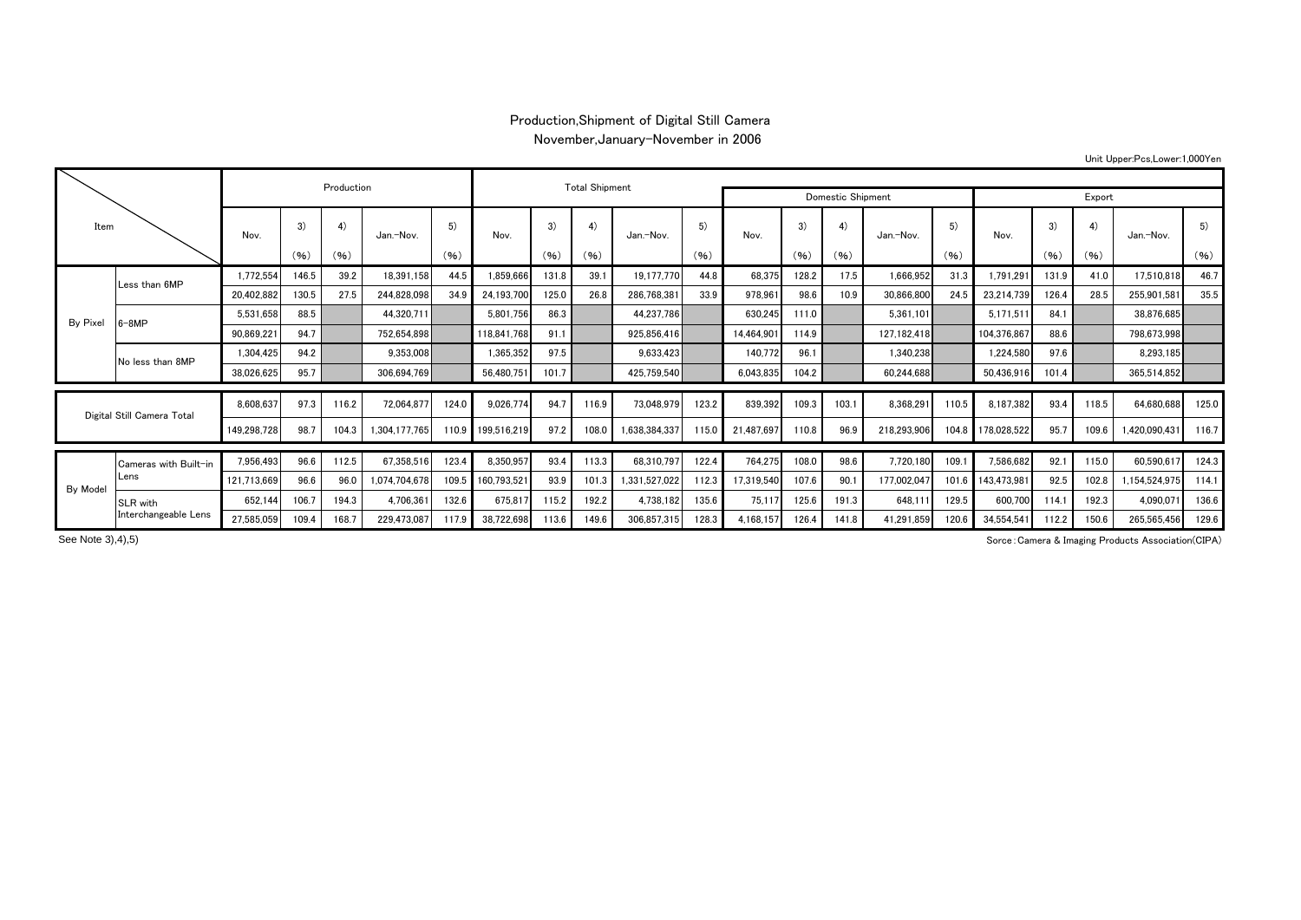## Production,Shipment of Digital Still Camera November,January-November in 2006

Unit Upper:Pcs,Lower:1,000Yen

| Item                       |                       |                                                                                                                                                                                                                                                                                                                                                                                                                                                                                                                                                                                                                                                                                                                                                                        |       |             |               |       |               |        |       |               |       |            |       |      |             |       |             |       |       |               |       |
|----------------------------|-----------------------|------------------------------------------------------------------------------------------------------------------------------------------------------------------------------------------------------------------------------------------------------------------------------------------------------------------------------------------------------------------------------------------------------------------------------------------------------------------------------------------------------------------------------------------------------------------------------------------------------------------------------------------------------------------------------------------------------------------------------------------------------------------------|-------|-------------|---------------|-------|---------------|--------|-------|---------------|-------|------------|-------|------|-------------|-------|-------------|-------|-------|---------------|-------|
|                            |                       |                                                                                                                                                                                                                                                                                                                                                                                                                                                                                                                                                                                                                                                                                                                                                                        |       |             |               |       |               | Export |       |               |       |            |       |      |             |       |             |       |       |               |       |
|                            |                       | Nov.                                                                                                                                                                                                                                                                                                                                                                                                                                                                                                                                                                                                                                                                                                                                                                   | 3)    | 4)          | Jan.-Nov.     | 5)    | Nov.          | 3)     | 4)    | Jan.-Nov.     | 5)    | Nov.       | 3)    | 4)   | Jan.-Nov.   | 5)    | Nov.        | 3)    | 4)    | Jan.-Nov.     | 5)    |
|                            |                       |                                                                                                                                                                                                                                                                                                                                                                                                                                                                                                                                                                                                                                                                                                                                                                        | (96)  | (96)        |               | (96)  |               | (96)   | (96)  |               | (96)  |            | (96)  | (96) |             | (96)  |             | (96)  | (96)  |               | (96)  |
|                            | Less than 6MP         | 1,772,554                                                                                                                                                                                                                                                                                                                                                                                                                                                                                                                                                                                                                                                                                                                                                              | 146.5 | 39.2        | 18,391,158    | 44.5  | 1,859,666     | 131.8  | 39.1  | 19,177,770    | 44.8  | 68,375     | 128.2 | 17.5 | 1,666,952   | 31.3  | 1,791,29    | 131.9 | 41.0  | 17,510,818    | 46.7  |
| By Pixel                   |                       | 20,402,882                                                                                                                                                                                                                                                                                                                                                                                                                                                                                                                                                                                                                                                                                                                                                             | 130.5 | 27.5        | 244,828,098   | 34.9  | 24,193,700    | 125.0  | 26.8  | 286,768,381   | 33.9  | 978.961    | 98.6  | 10.9 | 30,866,800  | 24.5  | 23.214.739  | 126.4 | 28.5  | 255,901,581   | 35.5  |
|                            | $6 - 8MP$             | 5.531.658                                                                                                                                                                                                                                                                                                                                                                                                                                                                                                                                                                                                                                                                                                                                                              | 88.5  |             | 44,320,711    |       | 5.801.756     | 86.3   |       |               |       |            | 111.0 |      | 5.361.101   |       | 5,171,511   | 84.1  |       | 38.876.685    |       |
|                            |                       | 90,869,22                                                                                                                                                                                                                                                                                                                                                                                                                                                                                                                                                                                                                                                                                                                                                              | 94.7  |             |               |       | 118,841,768   | 91.1   |       |               |       | 14,464,901 | 114.9 |      | 127,182,418 |       | 104,376,867 | 88.6  |       | 798,673,998   |       |
|                            | No less than 8MP      | 1,304,425                                                                                                                                                                                                                                                                                                                                                                                                                                                                                                                                                                                                                                                                                                                                                              | 94.2  |             |               |       | 1,365,352     | 97.5   |       |               |       | 140,772    | 96.1  |      | 1,340,238   |       | 1,224,580   | 97.6  |       | 8,293,185     |       |
|                            |                       | 38,026,625                                                                                                                                                                                                                                                                                                                                                                                                                                                                                                                                                                                                                                                                                                                                                             | 95.7  |             |               |       | 56,480,751    | 101.7  |       |               |       | 6,043,835  |       |      | 60,244,688  |       | 50,436,916  | 101.4 |       | 365,514,852   |       |
|                            |                       |                                                                                                                                                                                                                                                                                                                                                                                                                                                                                                                                                                                                                                                                                                                                                                        |       |             |               |       |               |        |       |               |       |            |       |      |             |       |             |       |       |               |       |
| Digital Still Camera Total |                       |                                                                                                                                                                                                                                                                                                                                                                                                                                                                                                                                                                                                                                                                                                                                                                        |       |             |               |       |               |        | 116.9 |               |       |            |       |      | 8,368,291   | 110.5 | 8.187.382   | 93.4  | 118.5 | 64,680,688    | 125.0 |
|                            |                       | 149,298,728                                                                                                                                                                                                                                                                                                                                                                                                                                                                                                                                                                                                                                                                                                                                                            | 98.7  | 104.3       | 1,304,177,765 | 110.9 | 199,516,219   | 97.2   | 108.0 | 1,638,384,337 | 115.0 | 21.487.69  | 110.8 | 96.9 | 218,293,906 | 104.8 | 178,028,522 | 95.7  | 109.6 | 1,420,090,431 | 116.7 |
|                            | Cameras with Built-in | 7,956,493                                                                                                                                                                                                                                                                                                                                                                                                                                                                                                                                                                                                                                                                                                                                                              | 96.6  | 112.5       | 67,358,516    | 123.4 | 8,350,957     | 93.4   | 113.3 | 68,310,797    | 122.4 | 764,275    | 108.0 | 98.6 | 7,720,180   | 109.1 | 7,586,682   | 92.1  | 115.0 | 60,590,617    | 124.3 |
|                            | Lens                  | <b>Total Shipment</b><br>Production<br><b>Domestic Shipment</b><br>44.237.786<br>630,245<br>752,654,898<br>925,856,416<br>9,353,008<br>9,633,423<br>306,694,769<br>425,759,540<br>104.2<br>8,608,637<br>97.3<br>72,064,877<br>123.2<br>839,392<br>103.1<br>116.2<br>124.0<br>9,026,774<br>94.7<br>73,048,979<br>109.3<br>1,331,527,022<br>121,713,669<br>96.6<br>1,074,704,678<br>109.5<br>160,793,521<br>112.3<br>107.6<br>90.1<br>177,002,047<br>96.0<br>93.9<br>101.3<br>17.319.540<br>652,144<br>194.3<br>4,706,361<br>132.6<br>192.2<br>4,738,182<br>135.6<br>106.7<br>675.817<br>75.11<br>125.6<br>191.3<br>115.2<br>27,585,059<br>168.7<br>229,473,087<br>306,857,315<br>38.722.698<br>149.6<br>128.3<br>4.168.157<br>109.4<br>117.9<br>126.4<br>141.8<br>113.6 | 101.6 | 143,473,981 | 92.5          | 102.8 | 1,154,524,975 | 114.1  |       |               |       |            |       |      |             |       |             |       |       |               |       |
| By Model                   | SLR with              |                                                                                                                                                                                                                                                                                                                                                                                                                                                                                                                                                                                                                                                                                                                                                                        |       |             |               |       |               |        |       |               |       |            |       |      | 648,111     | 129.5 | 600,700     | 114.1 | 192.3 | 4,090,071     | 136.6 |
|                            | Interchangeable Lens  |                                                                                                                                                                                                                                                                                                                                                                                                                                                                                                                                                                                                                                                                                                                                                                        |       |             |               |       |               |        |       |               |       |            |       |      | 41,291,859  | 120.6 | 34.554.541  | 112.2 | 150.6 | 265,565,456   | 129.6 |

See Note 3), 4), 5)

Sorce:Camera & Imaging Products Association(CIPA)